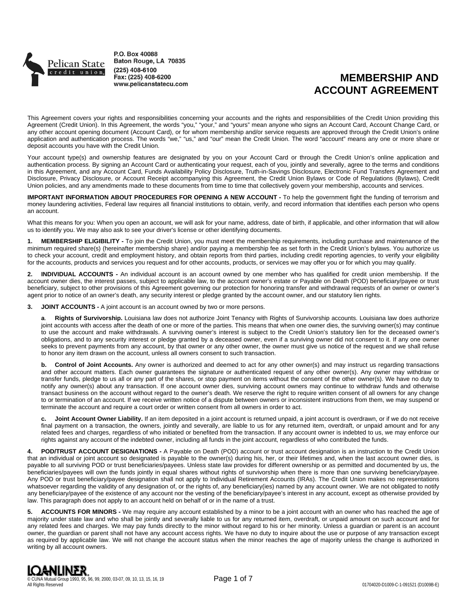

P.O. Box 40088 Baton Rouge, LA 70835 (225) 408-6100 Fax: (225) 408-6200 www.pelicanstatecu.com

# **MEMBERSHIP AND ACCOUNT AGREEMENT**

This Agreement covers your rights and responsibilities concerning your accounts and the rights and responsibilities of the Credit Union providing this Agreement (Credit Union). In this Agreement, the words "you," "your," and "yours" mean anyone who signs an Account Card, Account Change Card, or any other account opening document (Account Card), or for whom membership and/or service requests are approved through the Credit Union's online application and authentication process. The words "we," "us," and "our" mean the Credit Union. The word "account" means any one or more share or deposit accounts you have with the Credit Union.

Your account type(s) and ownership features are designated by you on your Account Card or through the Credit Union's online application and authentication process. By signing an Account Card or authenticating your request, each of you, jointly and severally, agree to the terms and conditions in this Agreement, and any Account Card, Funds Availability Policy Disclosure, Truth-in-Savings Disclosure, Electronic Fund Transfers Agreement and Disclosure, Privacy Disclosure, or Account Receipt accompanying this Agreement, the Credit Union Bylaws or Code of Regulations (Bylaws), Credit Union policies, and any amendments made to these documents from time to time that collectively govern your membership, accounts and services.

**IMPORTANT INFORMATION ABOUT PROCEDURES FOR OPENING A NEW ACCOUNT -** To help the government fight the funding of terrorism and money laundering activities, Federal law requires all financial institutions to obtain, verify, and record information that identifies each person who opens an account.

What this means for you: When you open an account, we will ask for your name, address, date of birth, if applicable, and other information that will allow us to identify you. We may also ask to see your driver's license or other identifying documents.

**1. MEMBERSHIP ELIGIBILITY -** To join the Credit Union, you must meet the membership requirements, including purchase and maintenance of the minimum required share(s) (hereinafter membership share) and/or paying a membership fee as set forth in the Credit Union's bylaws. You authorize us to check your account, credit and employment history, and obtain reports from third parties, including credit reporting agencies, to verify your eligibility for the accounts, products and services you request and for other accounts, products, or services we may offer you or for which you may qualify.

**2. INDIVIDUAL ACCOUNTS -** An individual account is an account owned by one member who has qualified for credit union membership. If the account owner dies, the interest passes, subject to applicable law, to the account owner's estate or Payable on Death (POD) beneficiary/payee or trust beneficiary, subject to other provisions of this Agreement governing our protection for honoring transfer and withdrawal requests of an owner or owner's agent prior to notice of an owner's death, any security interest or pledge granted by the account owner, and our statutory lien rights.

**3. JOINT ACCOUNTS -** A joint account is an account owned by two or more persons.

**a**. **Rights of Survivorship.** Louisiana law does not authorize Joint Tenancy with Rights of Survivorship accounts. Louisiana law does authorize joint accounts with access after the death of one or more of the parties. This means that when one owner dies, the surviving owner(s) may continue to use the account and make withdrawals. A surviving owner's interest is subject to the Credit Union's statutory lien for the deceased owner's obligations, and to any security interest or pledge granted by a deceased owner, even if a surviving owner did not consent to it. If any one owner seeks to prevent payments from any account, by that owner or any other owner, the owner must give us notice of the request and we shall refuse to honor any item drawn on the account, unless all owners consent to such transaction.

**b. Control of Joint Accounts.** Any owner is authorized and deemed to act for any other owner(s) and may instruct us regarding transactions and other account matters. Each owner guarantees the signature or authenticated request of any other owner(s). Any owner may withdraw or transfer funds, pledge to us all or any part of the shares, or stop payment on items without the consent of the other owner(s). We have no duty to notify any owner(s) about any transaction. If one account owner dies, surviving account owners may continue to withdraw funds and otherwise transact business on the account without regard to the owner's death. We reserve the right to require written consent of all owners for any change to or termination of an account. If we receive written notice of a dispute between owners or inconsistent instructions from them, we may suspend or terminate the account and require a court order or written consent from all owners in order to act.

**c. Joint Account Owner Liability.** If an item deposited in a joint account is returned unpaid, a joint account is overdrawn, or if we do not receive final payment on a transaction, the owners, jointly and severally, are liable to us for any returned item, overdraft, or unpaid amount and for any related fees and charges, regardless of who initiated or benefited from the transaction. If any account owner is indebted to us, we may enforce our rights against any account of the indebted owner, including all funds in the joint account, regardless of who contributed the funds.

**4. POD/TRUST ACCOUNT DESIGNATIONS -** A Payable on Death (POD) account or trust account designation is an instruction to the Credit Union that an individual or joint account so designated is payable to the owner(s) during his, her, or their lifetimes and, when the last account owner dies, is payable to all surviving POD or trust beneficiaries/payees. Unless state law provides for different ownership or as permitted and documented by us, the beneficiaries/payees will own the funds jointly in equal shares without rights of survivorship when there is more than one surviving beneficiary/payee. Any POD or trust beneficiary/payee designation shall not apply to Individual Retirement Accounts (IRAs). The Credit Union makes no representations whatsoever regarding the validity of any designation of, or the rights of, any beneficiary(ies) named by any account owner. We are not obligated to notify any beneficiary/payee of the existence of any account nor the vesting of the beneficiary/payee's interest in any account, except as otherwise provided by law. This paragraph does not apply to an account held on behalf of or in the name of a trust.

**5. ACCOUNTS FOR MINORS -** We may require any account established by a minor to be a joint account with an owner who has reached the age of majority under state law and who shall be jointly and severally liable to us for any returned item, overdraft, or unpaid amount on such account and for any related fees and charges. We may pay funds directly to the minor without regard to his or her minority. Unless a guardian or parent is an account owner, the guardian or parent shall not have any account access rights. We have no duty to inquire about the use or purpose of any transaction except as required by applicable law. We will not change the account status when the minor reaches the age of majority unless the change is authorized in writing by all account owners.

© CUNA Mutual Group 1993, 95, 96, 99, 2000, 03-07, 09, 10, 13, 15, 16, 19 All Rights Reserved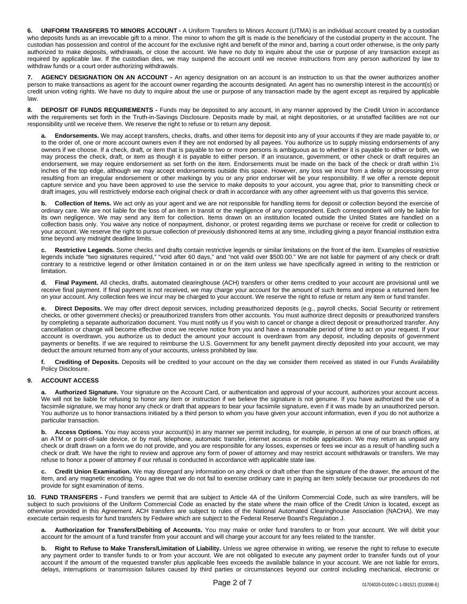**6. UNIFORM TRANSFERS TO MINORS ACCOUNT -** A Uniform Transfers to Minors Account (UTMA) is an individual account created by a custodian who deposits funds as an irrevocable gift to a minor. The minor to whom the gift is made is the beneficiary of the custodial property in the account. The custodian has possession and control of the account for the exclusive right and benefit of the minor and, barring a court order otherwise, is the only party authorized to make deposits, withdrawals, or close the account. We have no duty to inquire about the use or purpose of any transaction except as required by applicable law. If the custodian dies, we may suspend the account until we receive instructions from any person authorized by law to withdraw funds or a court order authorizing withdrawals.

**7. AGENCY DESIGNATION ON AN ACCOUNT -** An agency designation on an account is an instruction to us that the owner authorizes another person to make transactions as agent for the account owner regarding the accounts designated. An agent has no ownership interest in the account(s) or credit union voting rights. We have no duty to inquire about the use or purpose of any transaction made by the agent except as required by applicable law.

**8. DEPOSIT OF FUNDS REQUIREMENTS -** Funds may be deposited to any account, in any manner approved by the Credit Union in accordance with the requirements set forth in the Truth-in-Savings Disclosure. Deposits made by mail, at night depositories, or at unstaffed facilities are not our responsibility until we receive them. We reserve the right to refuse or to return any deposit.

**a. Endorsements.** We may accept transfers, checks, drafts, and other items for deposit into any of your accounts if they are made payable to, or to the order of, one or more account owners even if they are not endorsed by all payees. You authorize us to supply missing endorsements of any owners if we choose. If a check, draft, or item that is payable to two or more persons is ambiguous as to whether it is payable to either or both, we may process the check, draft, or item as though it is payable to either person. If an insurance, government, or other check or draft requires an endorsement, we may require endorsement as set forth on the item. Endorsements must be made on the back of the check or draft within 1½ inches of the top edge, although we may accept endorsements outside this space. However, any loss we incur from a delay or processing error resulting from an irregular endorsement or other markings by you or any prior endorser will be your responsibility. If we offer a remote deposit capture service and you have been approved to use the service to make deposits to your account, you agree that, prior to transmitting check or draft images, you will restrictively endorse each original check or draft in accordance with any other agreement with us that governs this service.

**b. Collection of Items.** We act only as your agent and we are not responsible for handling items for deposit or collection beyond the exercise of ordinary care. We are not liable for the loss of an item in transit or the negligence of any correspondent. Each correspondent will only be liable for its own negligence. We may send any item for collection. Items drawn on an institution located outside the United States are handled on a collection basis only. You waive any notice of nonpayment, dishonor, or protest regarding items we purchase or receive for credit or collection to your account. We reserve the right to pursue collection of previously dishonored items at any time, including giving a payor financial institution extra time beyond any midnight deadline limits.

**c. Restrictive Legends.** Some checks and drafts contain restrictive legends or similar limitations on the front of the item. Examples of restrictive legends include "two signatures required," "void after 60 days," and "not valid over \$500.00." We are not liable for payment of any check or draft contrary to a restrictive legend or other limitation contained in or on the item unless we have specifically agreed in writing to the restriction or limitation.

**d. Final Payment.** All checks, drafts, automated clearinghouse (ACH) transfers or other items credited to your account are provisional until we receive final payment. If final payment is not received, we may charge your account for the amount of such items and impose a returned item fee on your account. Any collection fees we incur may be charged to your account. We reserve the right to refuse or return any item or fund transfer.

**e. Direct Deposits.** We may offer direct deposit services, including preauthorized deposits (e.g., payroll checks, Social Security or retirement checks, or other government checks) or preauthorized transfers from other accounts. You must authorize direct deposits or preauthorized transfers by completing a separate authorization document. You must notify us if you wish to cancel or change a direct deposit or preauthorized transfer. Any cancellation or change will become effective once we receive notice from you and have a reasonable period of time to act on your request. If your account is overdrawn, you authorize us to deduct the amount your account is overdrawn from any deposit, including deposits of government payments or benefits. If we are required to reimburse the U.S. Government for any benefit payment directly deposited into your account, we may deduct the amount returned from any of your accounts, unless prohibited by law.

**f. Crediting of Deposits.** Deposits will be credited to your account on the day we consider them received as stated in our Funds Availability Policy Disclosure.

## **9. ACCOUNT ACCESS**

**a. Authorized Signature.** Your signature on the Account Card, or authentication and approval of your account, authorizes your account access. We will not be liable for refusing to honor any item or instruction if we believe the signature is not genuine. If you have authorized the use of a facsimile signature, we may honor any check or draft that appears to bear your facsimile signature, even if it was made by an unauthorized person. You authorize us to honor transactions initiated by a third person to whom you have given your account information, even if you do not authorize a particular transaction.

**b. Access Options.** You may access your account(s) in any manner we permit including, for example, in person at one of our branch offices, at an ATM or point-of-sale device, or by mail, telephone, automatic transfer, internet access or mobile application. We may return as unpaid any check or draft drawn on a form we do not provide, and you are responsible for any losses, expenses or fees we incur as a result of handling such a check or draft. We have the right to review and approve any form of power of attorney and may restrict account withdrawals or transfers. We may refuse to honor a power of attorney if our refusal is conducted in accordance with applicable state law.

**c. Credit Union Examination.** We may disregard any information on any check or draft other than the signature of the drawer, the amount of the item, and any magnetic encoding. You agree that we do not fail to exercise ordinary care in paying an item solely because our procedures do not provide for sight examination of items.

**10. FUND TRANSFERS -** Fund transfers we permit that are subject to Article 4A of the Uniform Commercial Code, such as wire transfers, will be subject to such provisions of the Uniform Commercial Code as enacted by the state where the main office of the Credit Union is located, except as otherwise provided in this Agreement. ACH transfers are subject to rules of the National Automated Clearinghouse Association (NACHA). We may execute certain requests for fund transfers by Fedwire which are subject to the Federal Reserve Board's Regulation J.

**a. Authorization for Transfers/Debiting of Accounts.** You may make or order fund transfers to or from your account. We will debit your account for the amount of a fund transfer from your account and will charge your account for any fees related to the transfer.

**b. Right to Refuse to Make Transfers/Limitation of Liability.** Unless we agree otherwise in writing, we reserve the right to refuse to execute any payment order to transfer funds to or from your account. We are not obligated to execute any payment order to transfer funds out of your account if the amount of the requested transfer plus applicable fees exceeds the available balance in your account. We are not liable for errors, delays, interruptions or transmission failures caused by third parties or circumstances beyond our control including mechanical, electronic or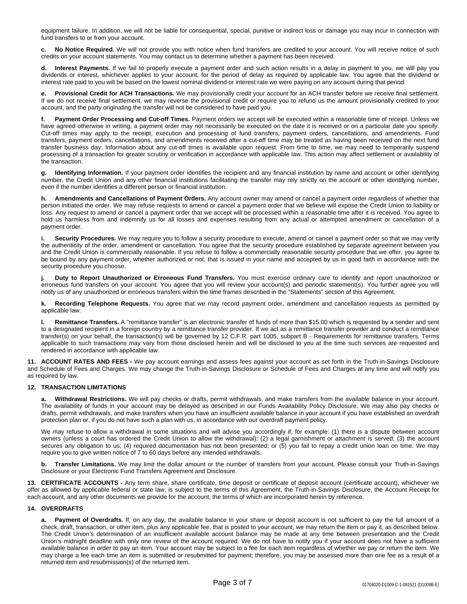equipment failure. In addition, we will not be liable for consequential, special, punitive or indirect loss or damage you may incur in connection with fund transfers to or from your account.

**c. No Notice Required.** We will not provide you with notice when fund transfers are credited to your account. You will receive notice of such credits on your account statements. You may contact us to determine whether a payment has been received.

Interest Payments. If we fail to properly execute a payment order and such action results in a delay in payment to you, we will pay you dividends or interest, whichever applies to your account, for the period of delay as required by applicable law. You agree that the dividend or interest rate paid to you will be based on the lowest nominal dividend or interest rate we were paying on any account during that period.

**e. Provisional Credit for ACH Transactions.** We may provisionally credit your account for an ACH transfer before we receive final settlement. If we do not receive final settlement, we may reverse the provisional credit or require you to refund us the amount provisionally credited to your account, and the party originating the transfer will not be considered to have paid you.

**f. Payment Order Processing and Cut-off Times.** Payment orders we accept will be executed within a reasonable time of receipt. Unless we have agreed otherwise in writing, a payment order may not necessarily be executed on the date it is received or on a particular date you specify. Cut-off times may apply to the receipt, execution and processing of fund transfers, payment orders, cancellations, and amendments. Fund transfers, payment orders, cancellations, and amendments received after a cut-off time may be treated as having been received on the next fund transfer business day. Information about any cut-off times is available upon request. From time to time, we may need to temporarily suspend processing of a transaction for greater scrutiny or verification in accordance with applicable law. This action may affect settlement or availability of the transaction.

**g. Identifying Information.** If your payment order identifies the recipient and any financial institution by name and account or other identifying number, the Credit Union and any other financial institutions facilitating the transfer may rely strictly on the account or other identifying number, even if the number identifies a different person or financial institution.

**h. Amendments and Cancellations of Payment Orders.** Any account owner may amend or cancel a payment order regardless of whether that person initiated the order. We may refuse requests to amend or cancel a payment order that we believe will expose the Credit Union to liability or loss. Any request to amend or cancel a payment order that we accept will be processed within a reasonable time after it is received. You agree to hold us harmless from and indemnify us for all losses and expenses resulting from any actual or attempted amendment or cancellation of a payment order.

**i. Security Procedures.** We may require you to follow a security procedure to execute, amend or cancel a payment order so that we may verify the authenticity of the order, amendment or cancellation. You agree that the security procedure established by separate agreement between you and the Credit Union is commercially reasonable. If you refuse to follow a commercially reasonable security procedure that we offer, you agree to be bound by any payment order, whether authorized or not, that is issued in your name and accepted by us in good faith in accordance with the security procedure you choose.

**j. Duty to Report Unauthorized or Erroneous Fund Transfers.** You must exercise ordinary care to identify and report unauthorized or erroneous fund transfers on your account. You agree that you will review your account(s) and periodic statement(s). You further agree you will notify us of any unauthorized or erroneous transfers within the time frames described in the "Statements" section of this Agreement.

**k. Recording Telephone Requests.** You agree that we may record payment order, amendment and cancellation requests as permitted by applicable law.

**l. Remittance Transfers.** A "remittance transfer" is an electronic transfer of funds of more than \$15.00 which is requested by a sender and sent to a designated recipient in a foreign country by a remittance transfer provider. If we act as a remittance transfer provider and conduct a remittance transfer(s) on your behalf, the transaction(s) will be governed by 12 C.F.R. part 1005, subpart B - Requirements for remittance transfers. Terms applicable to such transactions may vary from those disclosed herein and will be disclosed to you at the time such services are requested and rendered in accordance with applicable law.

**11. ACCOUNT RATES AND FEES -** We pay account earnings and assess fees against your account as set forth in the Truth-in-Savings Disclosure and Schedule of Fees and Charges. We may change the Truth-in-Savings Disclosure or Schedule of Fees and Charges at any time and will notify you as required by law.

## **12. TRANSACTION LIMITATIONS**

**a. Withdrawal Restrictions.** We will pay checks or drafts, permit withdrawals, and make transfers from the available balance in your account. The availability of funds in your account may be delayed as described in our Funds Availability Policy Disclosure. We may also pay checks or drafts, permit withdrawals, and make transfers when you have an insufficient available balance in your account if you have established an overdraft protection plan or, if you do not have such a plan with us, in accordance with our overdraft payment policy.

We may refuse to allow a withdrawal in some situations and will advise you accordingly if, for example: (1) there is a dispute between account owners (unless a court has ordered the Credit Union to allow the withdrawal); (2) a legal garnishment or attachment is served; (3) the account secures any obligation to us; (4) required documentation has not been presented; or (5) you fail to repay a credit union loan on time. We may require you to give written notice of 7 to 60 days before any intended withdrawals.

**b. Transfer Limitations.** We may limit the dollar amount or the number of transfers from your account. Please consult your Truth-in-Savings Disclosure or your Electronic Fund Transfers Agreement and Disclosure.

**13. CERTIFICATE ACCOUNTS -** Any term share, share certificate, time deposit or certificate of deposit account (certificate account), whichever we offer as allowed by applicable federal or state law, is subject to the terms of this Agreement, the Truth-in-Savings Disclosure, the Account Receipt for each account, and any other documents we provide for the account, the terms of which are incorporated herein by reference.

## **14. OVERDRAFTS**

**a. Payment of Overdrafts.** If, on any day, the available balance in your share or deposit account is not sufficient to pay the full amount of a check, draft, transaction, or other item, plus any applicable fee, that is posted to your account, we may return the item or pay it, as described below. The Credit Union's determination of an insufficient available account balance may be made at any time between presentation and the Credit Union's midnight deadline with only one review of the account required. We do not have to notify you if your account does not have a sufficient available balance in order to pay an item. Your account may be subject to a fee for each item regardless of whether we pay or return the item. We may charge a fee each time an item is submitted or resubmitted for payment; therefore, you may be assessed more than one fee as a result of a returned item and resubmission(s) of the returned item.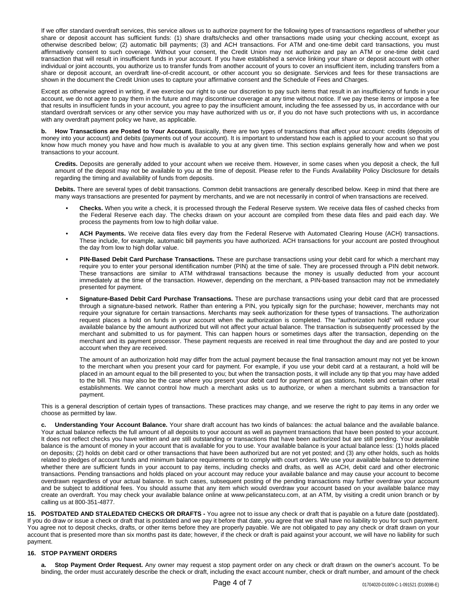If we offer standard overdraft services, this service allows us to authorize payment for the following types of transactions regardless of whether your share or deposit account has sufficient funds: (1) share drafts/checks and other transactions made using your checking account, except as otherwise described below; (2) automatic bill payments; (3) and ACH transactions. For ATM and one-time debit card transactions, you must affirmatively consent to such coverage. Without your consent, the Credit Union may not authorize and pay an ATM or one-time debit card transaction that will result in insufficient funds in your account. If you have established a service linking your share or deposit account with other individual or joint accounts, you authorize us to transfer funds from another account of yours to cover an insufficient item, including transfers from a share or deposit account, an overdraft line-of-credit account, or other account you so designate. Services and fees for these transactions are shown in the document the Credit Union uses to capture your affirmative consent and the Schedule of Fees and Charges.

Except as otherwise agreed in writing, if we exercise our right to use our discretion to pay such items that result in an insufficiency of funds in your account, we do not agree to pay them in the future and may discontinue coverage at any time without notice. If we pay these items or impose a fee that results in insufficient funds in your account, you agree to pay the insufficient amount, including the fee assessed by us, in accordance with our standard overdraft services or any other service you may have authorized with us or, if you do not have such protections with us, in accordance with any overdraft payment policy we have, as applicable.

**b. How Transactions are Posted to Your Account.** Basically, there are two types of transactions that affect your account: credits (deposits of money into your account) and debits (payments out of your account). It is important to understand how each is applied to your account so that you know how much money you have and how much is available to you at any given time. This section explains generally how and when we post transactions to your account.

**Credits.** Deposits are generally added to your account when we receive them. However, in some cases when you deposit a check, the full amount of the deposit may not be available to you at the time of deposit. Please refer to the Funds Availability Policy Disclosure for details regarding the timing and availability of funds from deposits.

**Debits.** There are several types of debit transactions. Common debit transactions are generally described below. Keep in mind that there are many ways transactions are presented for payment by merchants, and we are not necessarily in control of when transactions are received.

- **• Checks.** When you write a check, it is processed through the Federal Reserve system. We receive data files of cashed checks from the Federal Reserve each day. The checks drawn on your account are compiled from these data files and paid each day. We process the payments from low to high dollar value.
- **• ACH Payments.** We receive data files every day from the Federal Reserve with Automated Clearing House (ACH) transactions. These include, for example, automatic bill payments you have authorized. ACH transactions for your account are posted throughout the day from low to high dollar value.
- **• PIN-Based Debit Card Purchase Transactions.** These are purchase transactions using your debit card for which a merchant may require you to enter your personal identification number (PIN) at the time of sale. They are processed through a PIN debit network. These transactions are similar to ATM withdrawal transactions because the money is usually deducted from your account immediately at the time of the transaction. However, depending on the merchant, a PIN-based transaction may not be immediately presented for payment.
- **• Signature-Based Debit Card Purchase Transactions.** These are purchase transactions using your debit card that are processed through a signature-based network. Rather than entering a PIN, you typically sign for the purchase; however, merchants may not require your signature for certain transactions. Merchants may seek authorization for these types of transactions. The authorization request places a hold on funds in your account when the authorization is completed. The "authorization hold" will reduce your available balance by the amount authorized but will not affect your actual balance. The transaction is subsequently processed by the merchant and submitted to us for payment. This can happen hours or sometimes days after the transaction, depending on the merchant and its payment processor. These payment requests are received in real time throughout the day and are posted to your account when they are received.

The amount of an authorization hold may differ from the actual payment because the final transaction amount may not yet be known to the merchant when you present your card for payment. For example, if you use your debit card at a restaurant, a hold will be placed in an amount equal to the bill presented to you; but when the transaction posts, it will include any tip that you may have added to the bill. This may also be the case where you present your debit card for payment at gas stations, hotels and certain other retail establishments. We cannot control how much a merchant asks us to authorize, or when a merchant submits a transaction for payment.

This is a general description of certain types of transactions. These practices may change, and we reserve the right to pay items in any order we choose as permitted by law.

**c. Understanding Your Account Balance.** Your share draft account has two kinds of balances: the actual balance and the available balance. Your actual balance reflects the full amount of all deposits to your account as well as payment transactions that have been posted to your account. It does not reflect checks you have written and are still outstanding or transactions that have been authorized but are still pending. Your available balance is the amount of money in your account that is available for you to use. Your available balance is your actual balance less: (1) holds placed on deposits; (2) holds on debit card or other transactions that have been authorized but are not yet posted; and (3) any other holds, such as holds related to pledges of account funds and minimum balance requirements or to comply with court orders. We use your available balance to determine whether there are sufficient funds in your account to pay items, including checks and drafts, as well as ACH, debit card and other electronic transactions. Pending transactions and holds placed on your account may reduce your available balance and may cause your account to become overdrawn regardless of your actual balance. In such cases, subsequent posting of the pending transactions may further overdraw your account and be subject to additional fees. You should assume that any item which would overdraw your account based on your available balance may create an overdraft. You may check your available balance online at www.pelicanstatecu.com, at an ATM, by visiting a credit union branch or by calling us at 800-351-4877.

**15. POSTDATED AND STALEDATED CHECKS OR DRAFTS -** You agree not to issue any check or draft that is payable on a future date (postdated). If you do draw or issue a check or draft that is postdated and we pay it before that date, you agree that we shall have no liability to you for such payment. You agree not to deposit checks, drafts, or other items before they are properly payable. We are not obligated to pay any check or draft drawn on your account that is presented more than six months past its date; however, if the check or draft is paid against your account, we will have no liability for such payment.

## **16. STOP PAYMENT ORDERS**

**a. Stop Payment Order Request.** Any owner may request a stop payment order on any check or draft drawn on the owner's account. To be binding, the order must accurately describe the check or draft, including the exact account number, check or draft number, and amount of the check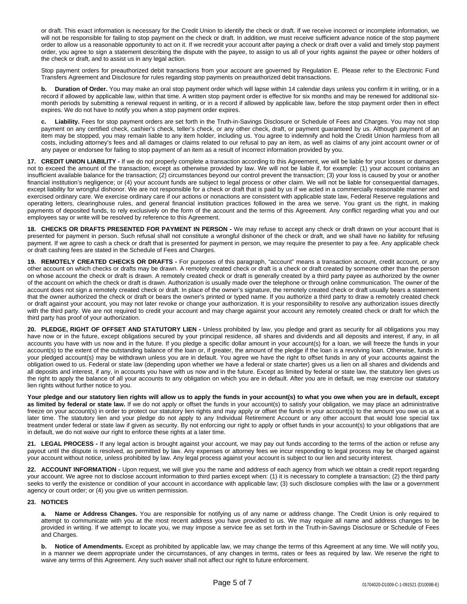or draft. This exact information is necessary for the Credit Union to identify the check or draft. If we receive incorrect or incomplete information, we will not be responsible for failing to stop payment on the check or draft. In addition, we must receive sufficient advance notice of the stop payment order to allow us a reasonable opportunity to act on it. If we recredit your account after paying a check or draft over a valid and timely stop payment order, you agree to sign a statement describing the dispute with the payee, to assign to us all of your rights against the payee or other holders of the check or draft, and to assist us in any legal action.

Stop payment orders for preauthorized debit transactions from your account are governed by Regulation E. Please refer to the Electronic Fund Transfers Agreement and Disclosure for rules regarding stop payments on preauthorized debit transactions.

**b. Duration of Order.** You may make an oral stop payment order which will lapse within 14 calendar days unless you confirm it in writing, or in a record if allowed by applicable law, within that time. A written stop payment order is effective for six months and may be renewed for additional sixmonth periods by submitting a renewal request in writing, or in a record if allowed by applicable law, before the stop payment order then in effect expires. We do not have to notify you when a stop payment order expires.

**c. Liability.** Fees for stop payment orders are set forth in the Truth-in-Savings Disclosure or Schedule of Fees and Charges. You may not stop payment on any certified check, cashier's check, teller's check, or any other check, draft, or payment guaranteed by us. Although payment of an item may be stopped, you may remain liable to any item holder, including us. You agree to indemnify and hold the Credit Union harmless from all costs, including attorney's fees and all damages or claims related to our refusal to pay an item, as well as claims of any joint account owner or of any payee or endorsee for failing to stop payment of an item as a result of incorrect information provided by you.

**17. CREDIT UNION LIABILITY -** If we do not properly complete a transaction according to this Agreement, we will be liable for your losses or damages not to exceed the amount of the transaction, except as otherwise provided by law. We will not be liable if, for example: (1) your account contains an insufficient available balance for the transaction; (2) circumstances beyond our control prevent the transaction; (3) your loss is caused by your or another financial institution's negligence; or (4) your account funds are subject to legal process or other claim. We will not be liable for consequential damages, except liability for wrongful dishonor. We are not responsible for a check or draft that is paid by us if we acted in a commercially reasonable manner and exercised ordinary care. We exercise ordinary care if our actions or nonactions are consistent with applicable state law, Federal Reserve regulations and operating letters, clearinghouse rules, and general financial institution practices followed in the area we serve. You grant us the right, in making payments of deposited funds, to rely exclusively on the form of the account and the terms of this Agreement. Any conflict regarding what you and our employees say or write will be resolved by reference to this Agreement.

**18. CHECKS OR DRAFTS PRESENTED FOR PAYMENT IN PERSON -** We may refuse to accept any check or draft drawn on your account that is presented for payment in person. Such refusal shall not constitute a wrongful dishonor of the check or draft, and we shall have no liability for refusing payment. If we agree to cash a check or draft that is presented for payment in person, we may require the presenter to pay a fee. Any applicable check or draft cashing fees are stated in the Schedule of Fees and Charges.

**19. REMOTELY CREATED CHECKS OR DRAFTS -** For purposes of this paragraph, "account" means a transaction account, credit account, or any other account on which checks or drafts may be drawn. A remotely created check or draft is a check or draft created by someone other than the person on whose account the check or draft is drawn. A remotely created check or draft is generally created by a third party payee as authorized by the owner of the account on which the check or draft is drawn. Authorization is usually made over the telephone or through online communication. The owner of the account does not sign a remotely created check or draft. In place of the owner's signature, the remotely created check or draft usually bears a statement that the owner authorized the check or draft or bears the owner's printed or typed name. If you authorize a third party to draw a remotely created check or draft against your account, you may not later revoke or change your authorization. It is your responsibility to resolve any authorization issues directly with the third party. We are not required to credit your account and may charge against your account any remotely created check or draft for which the third party has proof of your authorization.

**20. PLEDGE, RIGHT OF OFFSET AND STATUTORY LIEN -** Unless prohibited by law, you pledge and grant as security for all obligations you may have now or in the future, except obligations secured by your principal residence, all shares and dividends and all deposits and interest, if any, in all accounts you have with us now and in the future. If you pledge a specific dollar amount in your account(s) for a loan, we will freeze the funds in your account(s) to the extent of the outstanding balance of the loan or, if greater, the amount of the pledge if the loan is a revolving loan. Otherwise, funds in your pledged account(s) may be withdrawn unless you are in default. You agree we have the right to offset funds in any of your accounts against the obligation owed to us. Federal or state law (depending upon whether we have a federal or state charter) gives us a lien on all shares and dividends and all deposits and interest, if any, in accounts you have with us now and in the future. Except as limited by federal or state law, the statutory lien gives us the right to apply the balance of all your accounts to any obligation on which you are in default. After you are in default, we may exercise our statutory lien rights without further notice to you.

Your pledge and our statutory lien rights will allow us to apply the funds in your account(s) to what you owe when you are in default, except **as limited by federal or state law.** If we do not apply or offset the funds in your account(s) to satisfy your obligation, we may place an administrative freeze on your account(s) in order to protect our statutory lien rights and may apply or offset the funds in your account(s) to the amount you owe us at a later time. The statutory lien and your pledge do not apply to any Individual Retirement Account or any other account that would lose special tax treatment under federal or state law if given as security. By not enforcing our right to apply or offset funds in your account(s) to your obligations that are in default, we do not waive our right to enforce these rights at a later time.

**21. LEGAL PROCESS -** If any legal action is brought against your account, we may pay out funds according to the terms of the action or refuse any payout until the dispute is resolved, as permitted by law. Any expenses or attorney fees we incur responding to legal process may be charged against your account without notice, unless prohibited by law. Any legal process against your account is subject to our lien and security interest.

**22. ACCOUNT INFORMATION -** Upon request, we will give you the name and address of each agency from which we obtain a credit report regarding your account. We agree not to disclose account information to third parties except when: (1) it is necessary to complete a transaction; (2) the third party seeks to verify the existence or condition of your account in accordance with applicable law; (3) such disclosure complies with the law or a government agency or court order; or (4) you give us written permission.

## **23. NOTICES**

**a. Name or Address Changes.** You are responsible for notifying us of any name or address change. The Credit Union is only required to attempt to communicate with you at the most recent address you have provided to us. We may require all name and address changes to be provided in writing. If we attempt to locate you, we may impose a service fee as set forth in the Truth-in-Savings Disclosure or Schedule of Fees and Charges.

**b. Notice of Amendments.** Except as prohibited by applicable law, we may change the terms of this Agreement at any time. We will notify you, in a manner we deem appropriate under the circumstances, of any changes in terms, rates or fees as required by law. We reserve the right to waive any terms of this Agreement. Any such waiver shall not affect our right to future enforcement.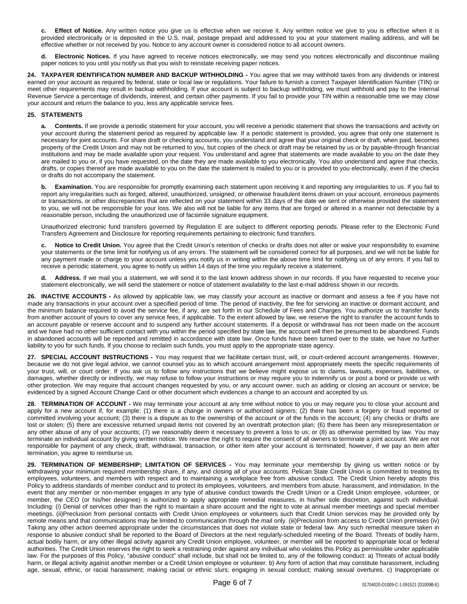**c. Effect of Notice.** Any written notice you give us is effective when we receive it. Any written notice we give to you is effective when it is provided electronically or is deposited in the U.S. mail, postage prepaid and addressed to you at your statement mailing address, and will be effective whether or not received by you. Notice to any account owner is considered notice to all account owners.

**d. Electronic Notices.** If you have agreed to receive notices electronically, we may send you notices electronically and discontinue mailing paper notices to you until you notify us that you wish to reinstate receiving paper notices.

**24. TAXPAYER IDENTIFICATION NUMBER AND BACKUP WITHHOLDING -** You agree that we may withhold taxes from any dividends or interest earned on your account as required by federal, state or local law or regulations. Your failure to furnish a correct Taxpayer Identification Number (TIN) or meet other requirements may result in backup withholding. If your account is subject to backup withholding, we must withhold and pay to the Internal Revenue Service a percentage of dividends, interest, and certain other payments. If you fail to provide your TIN within a reasonable time we may close your account and return the balance to you, less any applicable service fees.

## **25. STATEMENTS**

**a. Contents.** If we provide a periodic statement for your account, you will receive a periodic statement that shows the transactions and activity on your account during the statement period as required by applicable law. If a periodic statement is provided, you agree that only one statement is necessary for joint accounts. For share draft or checking accounts, you understand and agree that your original check or draft, when paid, becomes property of the Credit Union and may not be returned to you, but copies of the check or draft may be retained by us or by payable-through financial institutions and may be made available upon your request. You understand and agree that statements are made available to you on the date they are mailed to you or, if you have requested, on the date they are made available to you electronically. You also understand and agree that checks, drafts, or copies thereof are made available to you on the date the statement is mailed to you or is provided to you electronically, even if the checks or drafts do not accompany the statement.

**b.** Examination. You are responsible for promptly examining each statement upon receiving it and reporting any irregularities to us. If you fail to report any irregularities such as forged, altered, unauthorized, unsigned, or otherwise fraudulent items drawn on your account, erroneous payments or transactions, or other discrepancies that are reflected on your statement within 33 days of the date we sent or otherwise provided the statement to you, we will not be responsible for your loss. We also will not be liable for any items that are forged or altered in a manner not detectable by a reasonable person, including the unauthorized use of facsimile signature equipment.

Unauthorized electronic fund transfers governed by Regulation E are subject to different reporting periods. Please refer to the Electronic Fund Transfers Agreement and Disclosure for reporting requirements pertaining to electronic fund transfers.

**c. Notice to Credit Union.** You agree that the Credit Union's retention of checks or drafts does not alter or waive your responsibility to examine your statements or the time limit for notifying us of any errors. The statement will be considered correct for all purposes, and we will not be liable for any payment made or charge to your account unless you notify us in writing within the above time limit for notifying us of any errors. If you fail to receive a periodic statement, you agree to notify us within 14 days of the time you regularly receive a statement.

**d. Address.** If we mail you a statement, we will send it to the last known address shown in our records. If you have requested to receive your statement electronically, we will send the statement or notice of statement availability to the last e-mail address shown in our records.

**26. INACTIVE ACCOUNTS -** As allowed by applicable law, we may classify your account as inactive or dormant and assess a fee if you have not made any transactions in your account over a specified period of time. The period of inactivity, the fee for servicing an inactive or dormant account, and the minimum balance required to avoid the service fee, if any, are set forth in our Schedule of Fees and Charges. You authorize us to transfer funds from another account of yours to cover any service fees, if applicable. To the extent allowed by law, we reserve the right to transfer the account funds to an account payable or reserve account and to suspend any further account statements. If a deposit or withdrawal has not been made on the account and we have had no other sufficient contact with you within the period specified by state law, the account will then be presumed to be abandoned. Funds in abandoned accounts will be reported and remitted in accordance with state law. Once funds have been turned over to the state, we have no further liability to you for such funds. If you choose to reclaim such funds, you must apply to the appropriate state agency.

**27. SPECIAL ACCOUNT INSTRUCTIONS -** You may request that we facilitate certain trust, will, or court-ordered account arrangements. However, because we do not give legal advice, we cannot counsel you as to which account arrangement most appropriately meets the specific requirements of your trust, will, or court order. If you ask us to follow any instructions that we believe might expose us to claims, lawsuits, expenses, liabilities, or damages, whether directly or indirectly, we may refuse to follow your instructions or may require you to indemnify us or post a bond or provide us with other protection. We may require that account changes requested by you, or any account owner, such as adding or closing an account or service, be evidenced by a signed Account Change Card or other document which evidences a change to an account and accepted by us.

**28. TERMINATION OF ACCOUNT -** We may terminate your account at any time without notice to you or may require you to close your account and apply for a new account if, for example: (1) there is a change in owners or authorized signers; (2) there has been a forgery or fraud reported or committed involving your account; (3) there is a dispute as to the ownership of the account or of the funds in the account; (4) any checks or drafts are lost or stolen; (5) there are excessive returned unpaid items not covered by an overdraft protection plan; (6) there has been any misrepresentation or any other abuse of any of your accounts; (7) we reasonably deem it necessary to prevent a loss to us; or (8) as otherwise permitted by law. You may terminate an individual account by giving written notice. We reserve the right to require the consent of all owners to terminate a joint account. We are not responsible for payment of any check, draft, withdrawal, transaction, or other item after your account is terminated; however, if we pay an item after termination, you agree to reimburse us.

**29. TERMINATION OF MEMBERSHIP; LIMITATION OF SERVICES -** You may terminate your membership by giving us written notice or by withdrawing your minimum required membership share, if any, and closing all of your accounts. Pelican State Credit Union is committed to treating its employees, volunteers, and members with respect and to maintaining a workplace free from abusive conduct. The Credit Union hereby adopts this Policy to address standards of member conduct and to protect its employees, volunteers, and members from abuse, harassment, and intimidation. In the event that any member or non-member engages in any type of abusive conduct towards the Credit Union or a Credit Union employee, volunteer, or member, the CEO (or his/her designee) is authorized to apply appropriate remedial measures, in his/her sole discretion, against such individual. Including: (i) Denial of services other than the right to maintain a share account and the right to vote at annual member meetings and special member meetings. (ii)Preclusion from personal contacts with Credit Union employees or volunteers such that Credit Union services may be provided only by remote means and that communications may be limited to communication through the mail only. (iii)Preclusion from access to Credit Union premises (iv) Taking any other action deemed appropriate under the circumstances that does not violate state or federal law. Any such remedial measure taken in response to abusive conduct shall be reported to the Board of Directors at the next regularly-scheduled meeting of the Board. Threats of bodily harm, actual bodily harm, or any other illegal activity against any Credit Union employee, volunteer, or member will be reported to appropriate local or federal authorities. The Credit Union reserves the right to seek a restraining order against any individual who violates this Policy as permissible under applicable law. For the purposes of this Policy, "abusive conduct" shall include, but shall not be limited to, any of the following conduct: a) Threats of actual bodily harm, or illegal activity against another member or a Credit Union employee or volunteer. b) Any form of action that may constitute harassment, including age, sexual, ethnic, or racial harassment; making racial or ethnic slurs; engaging in sexual conduct; making sexual overtures. c) Inappropriate or